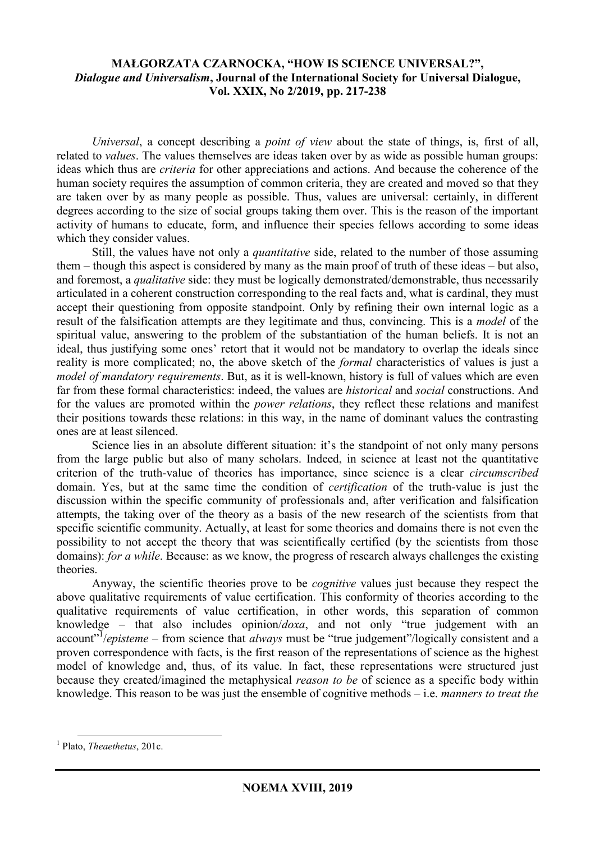## **MAŁGORZATA CZARNOCKA, "HOW IS SCIENCE UNIVERSAL?",**  *Dialogue and Universalism***, Journal of the International Society for Universal Dialogue, Vol. XXIX, No 2/2019, pp. 217-238**

*Universal*, a concept describing a *point of view* about the state of things, is, first of all, related to *values*. The values themselves are ideas taken over by as wide as possible human groups: ideas which thus are *criteria* for other appreciations and actions. And because the coherence of the human society requires the assumption of common criteria, they are created and moved so that they are taken over by as many people as possible. Thus, values are universal: certainly, in different degrees according to the size of social groups taking them over. This is the reason of the important activity of humans to educate, form, and influence their species fellows according to some ideas which they consider values.

Still, the values have not only a *quantitative* side, related to the number of those assuming them – though this aspect is considered by many as the main proof of truth of these ideas – but also, and foremost, a *qualitative* side: they must be logically demonstrated/demonstrable, thus necessarily articulated in a coherent construction corresponding to the real facts and, what is cardinal, they must accept their questioning from opposite standpoint. Only by refining their own internal logic as a result of the falsification attempts are they legitimate and thus, convincing. This is a *model* of the spiritual value, answering to the problem of the substantiation of the human beliefs. It is not an ideal, thus justifying some ones' retort that it would not be mandatory to overlap the ideals since reality is more complicated; no, the above sketch of the *formal* characteristics of values is just a *model of mandatory requirements*. But, as it is well-known, history is full of values which are even far from these formal characteristics: indeed, the values are *historical* and *social* constructions. And for the values are promoted within the *power relations*, they reflect these relations and manifest their positions towards these relations: in this way, in the name of dominant values the contrasting ones are at least silenced.

Science lies in an absolute different situation: it's the standpoint of not only many persons from the large public but also of many scholars. Indeed, in science at least not the quantitative criterion of the truth-value of theories has importance, since science is a clear *circumscribed* domain. Yes, but at the same time the condition of *certification* of the truth-value is just the discussion within the specific community of professionals and, after verification and falsification attempts, the taking over of the theory as a basis of the new research of the scientists from that specific scientific community. Actually, at least for some theories and domains there is not even the possibility to not accept the theory that was scientifically certified (by the scientists from those domains): *for a while*. Because: as we know, the progress of research always challenges the existing theories.

Anyway, the scientific theories prove to be *cognitive* values just because they respect the above qualitative requirements of value certification. This conformity of theories according to the qualitative requirements of value certification, in other words, this separation of common knowledge – that also includes opinion/*doxa*, and not only "true judgement with an account<sup>"</sup>/*episteme* – from science that *always* must be "true judgement"/logically consistent and a proven correspondence with facts, is the first reason of the representations of science as the highest model of knowledge and, thus, of its value. In fact, these representations were structured just because they created/imagined the metaphysical *reason to be* of science as a specific body within knowledge. This reason to be was just the ensemble of cognitive methods – i.e. *manners to treat the* 

<sup>1</sup> Plato, *Theaethetus*, 201c.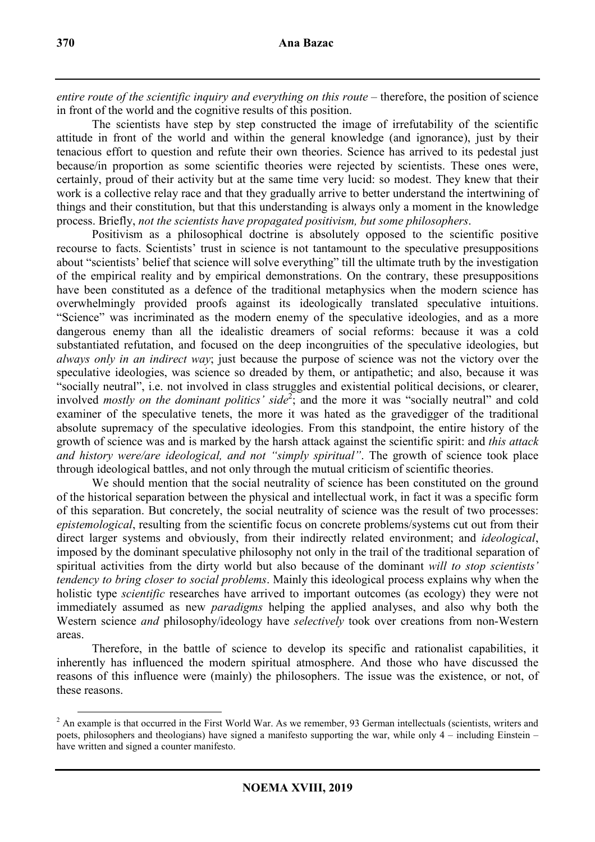entire route of the scientific inquiry and everything on this route – therefore, the position of science in front of the world and the cognitive results of this position.

The scientists have step by step constructed the image of irrefutability of the scientific attitude in front of the world and within the general knowledge (and ignorance), just by their tenacious effort to question and refute their own theories. Science has arrived to its pedestal just because/in proportion as some scientific theories were rejected by scientists. These ones were, certainly, proud of their activity but at the same time very lucid: so modest. They knew that their work is a collective relay race and that they gradually arrive to better understand the intertwining of things and their constitution, but that this understanding is always only a moment in the knowledge process. Briefly, *not the scientists have propagated positivism, but some philosophers*.

Positivism as a philosophical doctrine is absolutely opposed to the scientific positive recourse to facts. Scientists' trust in science is not tantamount to the speculative presuppositions about "scientists' belief that science will solve everything" till the ultimate truth by the investigation of the empirical reality and by empirical demonstrations. On the contrary, these presuppositions have been constituted as a defence of the traditional metaphysics when the modern science has overwhelmingly provided proofs against its ideologically translated speculative intuitions. "Science" was incriminated as the modern enemy of the speculative ideologies, and as a more dangerous enemy than all the idealistic dreamers of social reforms: because it was a cold substantiated refutation, and focused on the deep incongruities of the speculative ideologies, but *always only in an indirect way*; just because the purpose of science was not the victory over the speculative ideologies, was science so dreaded by them, or antipathetic; and also, because it was "socially neutral", i.e. not involved in class struggles and existential political decisions, or clearer, involved *mostly on the dominant politics' side*<sup>2</sup>; and the more it was "socially neutral" and cold examiner of the speculative tenets, the more it was hated as the gravedigger of the traditional absolute supremacy of the speculative ideologies. From this standpoint, the entire history of the growth of science was and is marked by the harsh attack against the scientific spirit: and *this attack and history were/are ideological, and not "simply spiritual"*. The growth of science took place through ideological battles, and not only through the mutual criticism of scientific theories.

We should mention that the social neutrality of science has been constituted on the ground of the historical separation between the physical and intellectual work, in fact it was a specific form of this separation. But concretely, the social neutrality of science was the result of two processes: *epistemological*, resulting from the scientific focus on concrete problems/systems cut out from their direct larger systems and obviously, from their indirectly related environment; and *ideological*, imposed by the dominant speculative philosophy not only in the trail of the traditional separation of spiritual activities from the dirty world but also because of the dominant *will to stop scientists' tendency to bring closer to social problems*. Mainly this ideological process explains why when the holistic type *scientific* researches have arrived to important outcomes (as ecology) they were not immediately assumed as new *paradigms* helping the applied analyses, and also why both the Western science *and* philosophy/ideology have *selectively* took over creations from non-Western areas.

Therefore, in the battle of science to develop its specific and rationalist capabilities, it inherently has influenced the modern spiritual atmosphere. And those who have discussed the reasons of this influence were (mainly) the philosophers. The issue was the existence, or not, of these reasons.

<sup>&</sup>lt;sup>2</sup> An example is that occurred in the First World War. As we remember, 93 German intellectuals (scientists, writers and poets, philosophers and theologians) have signed a manifesto supporting the war, while only 4 – including Einstein – have written and signed a counter manifesto.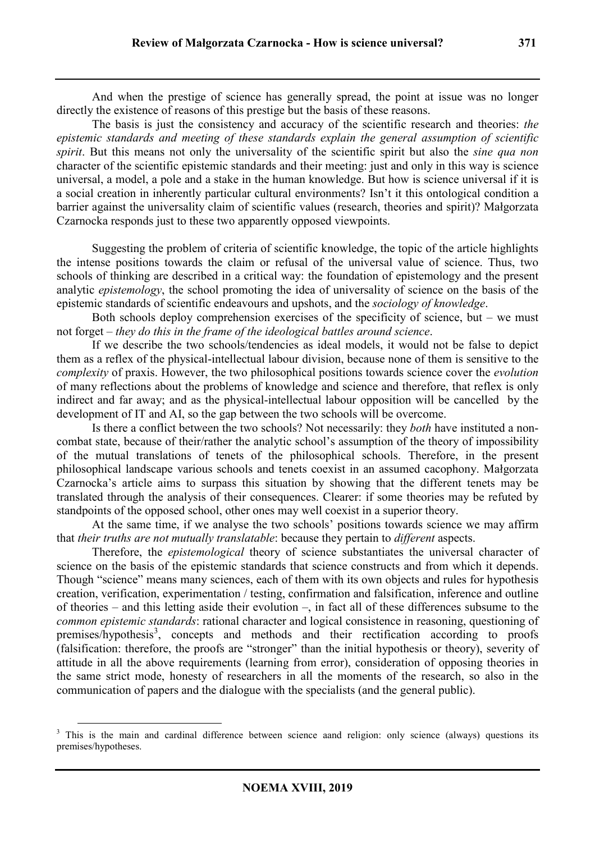And when the prestige of science has generally spread, the point at issue was no longer directly the existence of reasons of this prestige but the basis of these reasons.

The basis is just the consistency and accuracy of the scientific research and theories: *the epistemic standards and meeting of these standards explain the general assumption of scientific spirit*. But this means not only the universality of the scientific spirit but also the *sine qua non* character of the scientific epistemic standards and their meeting: just and only in this way is science universal, a model, a pole and a stake in the human knowledge. But how is science universal if it is a social creation in inherently particular cultural environments? Isn't it this ontological condition a barrier against the universality claim of scientific values (research, theories and spirit)? Małgorzata Czarnocka responds just to these two apparently opposed viewpoints.

Suggesting the problem of criteria of scientific knowledge, the topic of the article highlights the intense positions towards the claim or refusal of the universal value of science. Thus, two schools of thinking are described in a critical way: the foundation of epistemology and the present analytic *epistemology*, the school promoting the idea of universality of science on the basis of the epistemic standards of scientific endeavours and upshots, and the *sociology of knowledge*.

Both schools deploy comprehension exercises of the specificity of science, but – we must not forget – *they do this in the frame of the ideological battles around science*.

If we describe the two schools/tendencies as ideal models, it would not be false to depict them as a reflex of the physical-intellectual labour division, because none of them is sensitive to the *complexity* of praxis. However, the two philosophical positions towards science cover the *evolution*  of many reflections about the problems of knowledge and science and therefore, that reflex is only indirect and far away; and as the physical-intellectual labour opposition will be cancelled by the development of IT and AI, so the gap between the two schools will be overcome.

Is there a conflict between the two schools? Not necessarily: they *both* have instituted a noncombat state, because of their/rather the analytic school's assumption of the theory of impossibility of the mutual translations of tenets of the philosophical schools. Therefore, in the present philosophical landscape various schools and tenets coexist in an assumed cacophony. Małgorzata Czarnocka's article aims to surpass this situation by showing that the different tenets may be translated through the analysis of their consequences. Clearer: if some theories may be refuted by standpoints of the opposed school, other ones may well coexist in a superior theory.

At the same time, if we analyse the two schools' positions towards science we may affirm that *their truths are not mutually translatable*: because they pertain to *different* aspects.

Therefore, the *epistemological* theory of science substantiates the universal character of science on the basis of the epistemic standards that science constructs and from which it depends. Though "science" means many sciences, each of them with its own objects and rules for hypothesis creation, verification, experimentation / testing, confirmation and falsification, inference and outline of theories – and this letting aside their evolution –, in fact all of these differences subsume to the *common epistemic standards*: rational character and logical consistence in reasoning, questioning of premises/hypothesis<sup>3</sup>, concepts and methods and their rectification according to proofs (falsification: therefore, the proofs are "stronger" than the initial hypothesis or theory), severity of attitude in all the above requirements (learning from error), consideration of opposing theories in the same strict mode, honesty of researchers in all the moments of the research, so also in the communication of papers and the dialogue with the specialists (and the general public).

<sup>&</sup>lt;sup>3</sup> This is the main and cardinal difference between science aand religion: only science (always) questions its premises/hypotheses.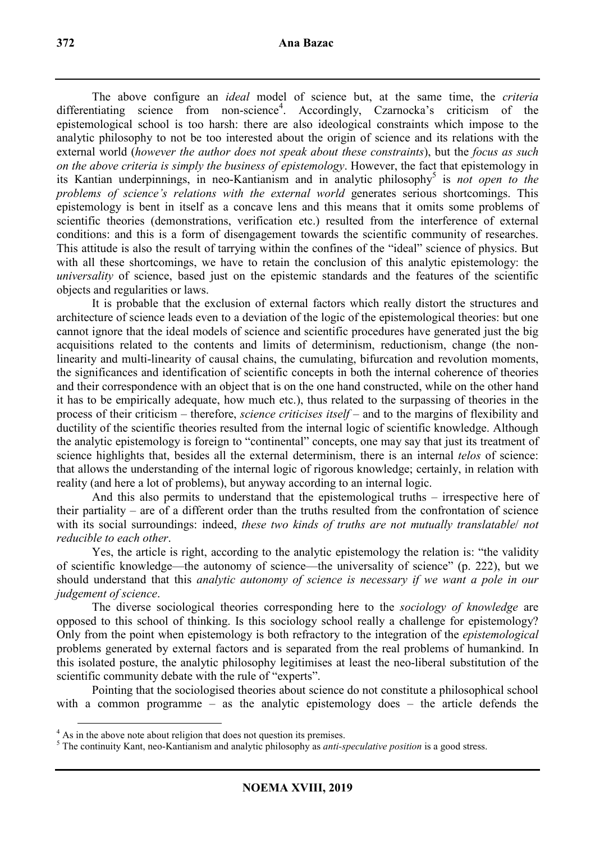The above configure an *ideal* model of science but, at the same time, the *criteria*  differentiating science from non-science<sup>4</sup>. Accordingly, Czarnocka's criticism of the epistemological school is too harsh: there are also ideological constraints which impose to the analytic philosophy to not be too interested about the origin of science and its relations with the external world (*however the author does not speak about these constraints*), but the *focus as such on the above criteria is simply the business of epistemology*. However, the fact that epistemology in its Kantian underpinnings, in neo-Kantianism and in analytic philosophy<sup>5</sup> is *not open to the problems of science's relations with the external world* generates serious shortcomings. This epistemology is bent in itself as a concave lens and this means that it omits some problems of scientific theories (demonstrations, verification etc.) resulted from the interference of external conditions: and this is a form of disengagement towards the scientific community of researches. This attitude is also the result of tarrying within the confines of the "ideal" science of physics. But with all these shortcomings, we have to retain the conclusion of this analytic epistemology: the *universality* of science, based just on the epistemic standards and the features of the scientific objects and regularities or laws.

It is probable that the exclusion of external factors which really distort the structures and architecture of science leads even to a deviation of the logic of the epistemological theories: but one cannot ignore that the ideal models of science and scientific procedures have generated just the big acquisitions related to the contents and limits of determinism, reductionism, change (the nonlinearity and multi-linearity of causal chains, the cumulating, bifurcation and revolution moments, the significances and identification of scientific concepts in both the internal coherence of theories and their correspondence with an object that is on the one hand constructed, while on the other hand it has to be empirically adequate, how much etc.), thus related to the surpassing of theories in the process of their criticism – therefore, *science criticises itself* – and to the margins of flexibility and ductility of the scientific theories resulted from the internal logic of scientific knowledge. Although the analytic epistemology is foreign to "continental" concepts, one may say that just its treatment of science highlights that, besides all the external determinism, there is an internal *telos* of science: that allows the understanding of the internal logic of rigorous knowledge; certainly, in relation with reality (and here a lot of problems), but anyway according to an internal logic.

And this also permits to understand that the epistemological truths – irrespective here of their partiality – are of a different order than the truths resulted from the confrontation of science with its social surroundings: indeed, *these two kinds of truths are not mutually translatable*/ *not reducible to each other*.

Yes, the article is right, according to the analytic epistemology the relation is: "the validity of scientific knowledge—the autonomy of science—the universality of science" (p. 222), but we should understand that this *analytic autonomy of science is necessary if we want a pole in our judgement of science*.

The diverse sociological theories corresponding here to the *sociology of knowledge* are opposed to this school of thinking. Is this sociology school really a challenge for epistemology? Only from the point when epistemology is both refractory to the integration of the *epistemological* problems generated by external factors and is separated from the real problems of humankind. In this isolated posture, the analytic philosophy legitimises at least the neo-liberal substitution of the scientific community debate with the rule of "experts".

Pointing that the sociologised theories about science do not constitute a philosophical school with a common programme – as the analytic epistemology does – the article defends the

<sup>&</sup>lt;sup>4</sup> As in the above note about religion that does not question its premises.

<sup>5</sup> The continuity Kant, neo-Kantianism and analytic philosophy as *anti-speculative position* is a good stress.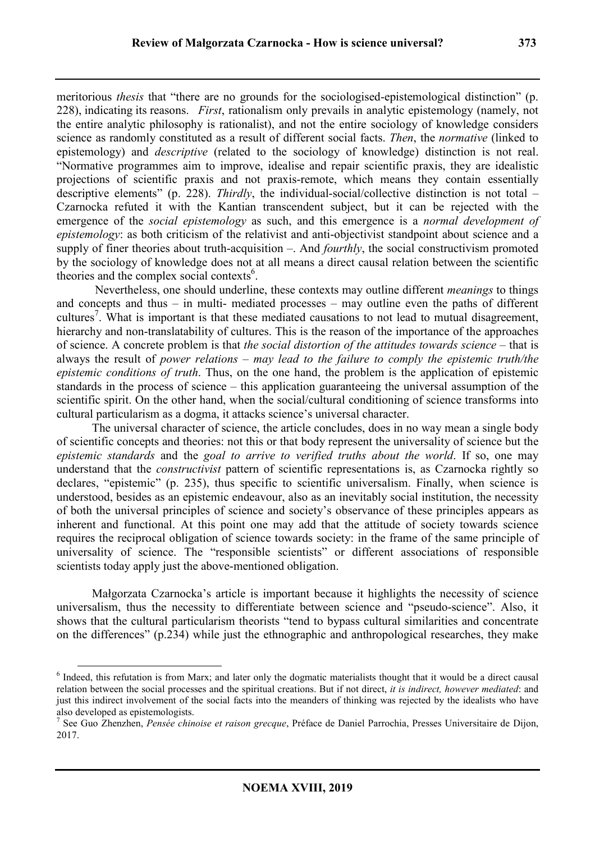meritorious *thesis* that "there are no grounds for the sociologised-epistemological distinction" (p. 228), indicating its reasons. *First*, rationalism only prevails in analytic epistemology (namely, not the entire analytic philosophy is rationalist), and not the entire sociology of knowledge considers science as randomly constituted as a result of different social facts. *Then*, the *normative* (linked to epistemology) and *descriptive* (related to the sociology of knowledge) distinction is not real. "Normative programmes aim to improve, idealise and repair scientific praxis, they are idealistic projections of scientific praxis and not praxis-remote, which means they contain essentially descriptive elements" (p. 228). *Thirdly*, the individual-social/collective distinction is not total – Czarnocka refuted it with the Kantian transcendent subject, but it can be rejected with the emergence of the *social epistemology* as such, and this emergence is a *normal development of epistemology*: as both criticism of the relativist and anti-objectivist standpoint about science and a supply of finer theories about truth-acquisition –. And *fourthly*, the social constructivism promoted by the sociology of knowledge does not at all means a direct causal relation between the scientific theories and the complex social contexts<sup>6</sup>.

 Nevertheless, one should underline, these contexts may outline different *meanings* to things and concepts and thus – in multi- mediated processes – may outline even the paths of different cultures<sup>7</sup>. What is important is that these mediated causations to not lead to mutual disagreement, hierarchy and non-translatability of cultures. This is the reason of the importance of the approaches of science. A concrete problem is that *the social distortion of the attitudes towards science* – that is always the result of *power relations* – *may lead to the failure to comply the epistemic truth/the epistemic conditions of truth*. Thus, on the one hand, the problem is the application of epistemic standards in the process of science – this application guaranteeing the universal assumption of the scientific spirit. On the other hand, when the social/cultural conditioning of science transforms into cultural particularism as a dogma, it attacks science's universal character.

The universal character of science, the article concludes, does in no way mean a single body of scientific concepts and theories: not this or that body represent the universality of science but the *epistemic standards* and the *goal to arrive to verified truths about the world*. If so, one may understand that the *constructivist* pattern of scientific representations is, as Czarnocka rightly so declares, "epistemic" (p. 235), thus specific to scientific universalism. Finally, when science is understood, besides as an epistemic endeavour, also as an inevitably social institution, the necessity of both the universal principles of science and society's observance of these principles appears as inherent and functional. At this point one may add that the attitude of society towards science requires the reciprocal obligation of science towards society: in the frame of the same principle of universality of science. The "responsible scientists" or different associations of responsible scientists today apply just the above-mentioned obligation.

Małgorzata Czarnocka's article is important because it highlights the necessity of science universalism, thus the necessity to differentiate between science and "pseudo-science". Also, it shows that the cultural particularism theorists "tend to bypass cultural similarities and concentrate on the differences" (p.234) while just the ethnographic and anthropological researches, they make

<sup>&</sup>lt;sup>6</sup> Indeed, this refutation is from Marx; and later only the dogmatic materialists thought that it would be a direct causal relation between the social processes and the spiritual creations. But if not direct, *it is indirect, however mediated*: and just this indirect involvement of the social facts into the meanders of thinking was rejected by the idealists who have also developed as epistemologists.

<sup>7</sup> See Guo Zhenzhen, *Pensée chinoise et raison grecque*, Préface de Daniel Parrochia, Presses Universitaire de Dijon, 2017.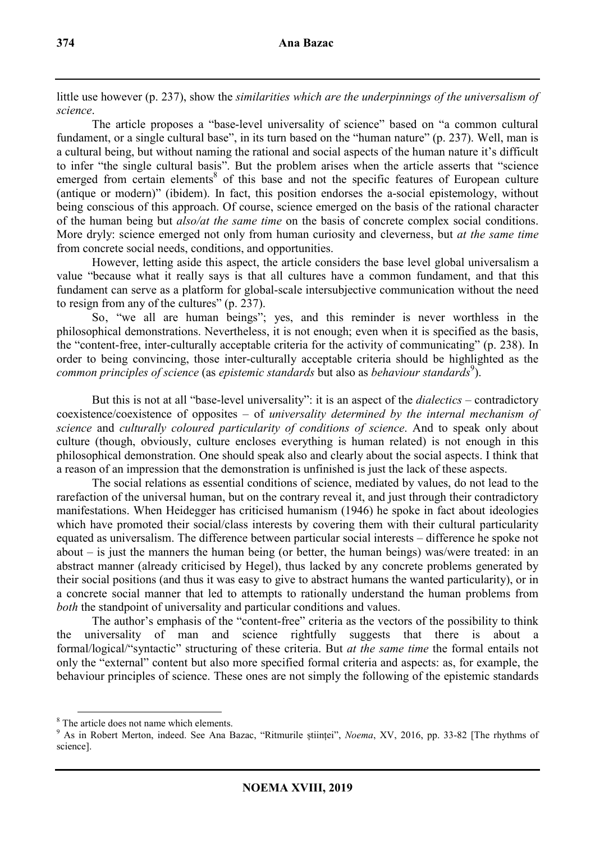little use however (p. 237), show the *similarities which are the underpinnings of the universalism of science*.

The article proposes a "base-level universality of science" based on "a common cultural fundament, or a single cultural base", in its turn based on the "human nature" (p. 237). Well, man is a cultural being, but without naming the rational and social aspects of the human nature it's difficult to infer "the single cultural basis". But the problem arises when the article asserts that "science emerged from certain elements<sup>8</sup> of this base and not the specific features of European culture (antique or modern)" (ibidem). In fact, this position endorses the a-social epistemology, without being conscious of this approach. Of course, science emerged on the basis of the rational character of the human being but *also/at the same time* on the basis of concrete complex social conditions. More dryly: science emerged not only from human curiosity and cleverness, but *at the same time* from concrete social needs, conditions, and opportunities.

However, letting aside this aspect, the article considers the base level global universalism a value "because what it really says is that all cultures have a common fundament, and that this fundament can serve as a platform for global-scale intersubjective communication without the need to resign from any of the cultures" (p. 237).

So, "we all are human beings"; yes, and this reminder is never worthless in the philosophical demonstrations. Nevertheless, it is not enough; even when it is specified as the basis, the "content-free, inter-culturally acceptable criteria for the activity of communicating" (p. 238). In order to being convincing, those inter-culturally acceptable criteria should be highlighted as the *common principles of science* (as *epistemic standards* but also as *behaviour standards*<sup>9</sup> ).

But this is not at all "base-level universality": it is an aspect of the *dialectics* – contradictory coexistence/coexistence of opposites – of *universality determined by the internal mechanism of science* and *culturally coloured particularity of conditions of science*. And to speak only about culture (though, obviously, culture encloses everything is human related) is not enough in this philosophical demonstration. One should speak also and clearly about the social aspects. I think that a reason of an impression that the demonstration is unfinished is just the lack of these aspects.

The social relations as essential conditions of science, mediated by values, do not lead to the rarefaction of the universal human, but on the contrary reveal it, and just through their contradictory manifestations. When Heidegger has criticised humanism (1946) he spoke in fact about ideologies which have promoted their social/class interests by covering them with their cultural particularity equated as universalism. The difference between particular social interests – difference he spoke not about – is just the manners the human being (or better, the human beings) was/were treated: in an abstract manner (already criticised by Hegel), thus lacked by any concrete problems generated by their social positions (and thus it was easy to give to abstract humans the wanted particularity), or in a concrete social manner that led to attempts to rationally understand the human problems from *both* the standpoint of universality and particular conditions and values.

The author's emphasis of the "content-free" criteria as the vectors of the possibility to think the universality of man and science rightfully suggests that there is about a formal/logical/"syntactic" structuring of these criteria. But *at the same time* the formal entails not only the "external" content but also more specified formal criteria and aspects: as, for example, the behaviour principles of science. These ones are not simply the following of the epistemic standards

<sup>&</sup>lt;sup>8</sup> The article does not name which elements.

<sup>9</sup> As in Robert Merton, indeed. See Ana Bazac, "Ritmurile științei", *Noema*, XV, 2016, pp. 33-82 [The rhythms of science].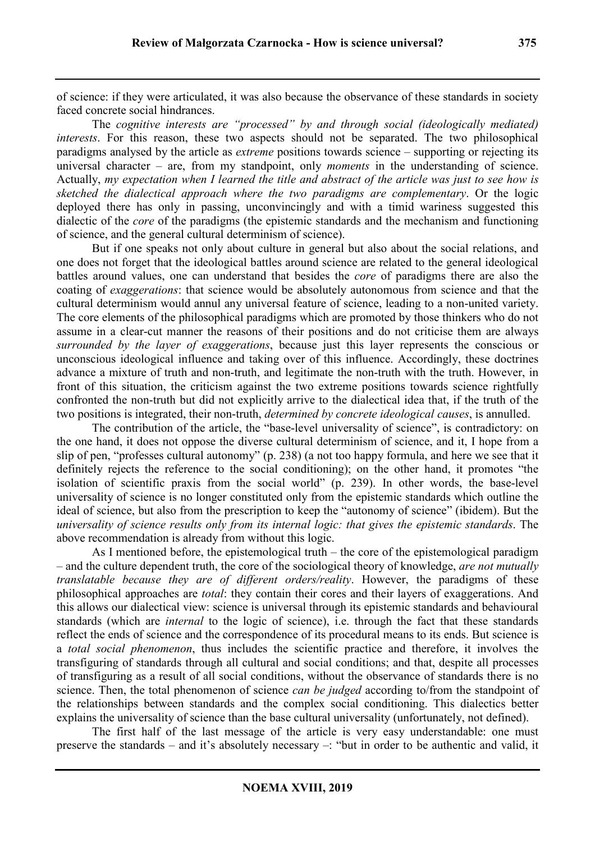of science: if they were articulated, it was also because the observance of these standards in society faced concrete social hindrances.

The *cognitive interests are "processed" by and through social (ideologically mediated) interests*. For this reason, these two aspects should not be separated. The two philosophical paradigms analysed by the article as *extreme* positions towards science – supporting or rejecting its universal character – are, from my standpoint, only *moments* in the understanding of science. Actually, *my expectation when I learned the title and abstract of the article was just to see how is sketched the dialectical approach where the two paradigms are complementary*. Or the logic deployed there has only in passing, unconvincingly and with a timid wariness suggested this dialectic of the *core* of the paradigms (the epistemic standards and the mechanism and functioning of science, and the general cultural determinism of science).

But if one speaks not only about culture in general but also about the social relations, and one does not forget that the ideological battles around science are related to the general ideological battles around values, one can understand that besides the *core* of paradigms there are also the coating of *exaggerations*: that science would be absolutely autonomous from science and that the cultural determinism would annul any universal feature of science, leading to a non-united variety. The core elements of the philosophical paradigms which are promoted by those thinkers who do not assume in a clear-cut manner the reasons of their positions and do not criticise them are always *surrounded by the layer of exaggerations*, because just this layer represents the conscious or unconscious ideological influence and taking over of this influence. Accordingly, these doctrines advance a mixture of truth and non-truth, and legitimate the non-truth with the truth. However, in front of this situation, the criticism against the two extreme positions towards science rightfully confronted the non-truth but did not explicitly arrive to the dialectical idea that, if the truth of the two positions is integrated, their non-truth, *determined by concrete ideological causes*, is annulled.

The contribution of the article, the "base-level universality of science", is contradictory: on the one hand, it does not oppose the diverse cultural determinism of science, and it, I hope from a slip of pen, "professes cultural autonomy" (p. 238) (a not too happy formula, and here we see that it definitely rejects the reference to the social conditioning); on the other hand, it promotes "the isolation of scientific praxis from the social world" (p. 239). In other words, the base-level universality of science is no longer constituted only from the epistemic standards which outline the ideal of science, but also from the prescription to keep the "autonomy of science" (ibidem). But the *universality of science results only from its internal logic: that gives the epistemic standards*. The above recommendation is already from without this logic.

As I mentioned before, the epistemological truth – the core of the epistemological paradigm – and the culture dependent truth, the core of the sociological theory of knowledge, *are not mutually translatable because they are of different orders/reality*. However, the paradigms of these philosophical approaches are *total*: they contain their cores and their layers of exaggerations. And this allows our dialectical view: science is universal through its epistemic standards and behavioural standards (which are *internal* to the logic of science), i.e. through the fact that these standards reflect the ends of science and the correspondence of its procedural means to its ends. But science is a *total social phenomenon*, thus includes the scientific practice and therefore, it involves the transfiguring of standards through all cultural and social conditions; and that, despite all processes of transfiguring as a result of all social conditions, without the observance of standards there is no science. Then, the total phenomenon of science *can be judged* according to/from the standpoint of the relationships between standards and the complex social conditioning. This dialectics better explains the universality of science than the base cultural universality (unfortunately, not defined).

The first half of the last message of the article is very easy understandable: one must preserve the standards – and it's absolutely necessary –: "but in order to be authentic and valid, it